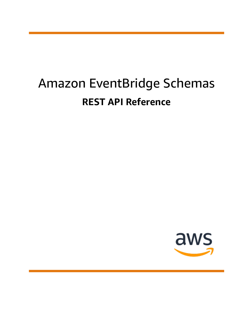# Amazon EventBridge Schemas **REST API Reference**

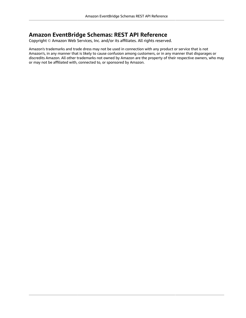### **Amazon EventBridge Schemas: REST API Reference**

Copyright © Amazon Web Services, Inc. and/or its affiliates. All rights reserved.

Amazon's trademarks and trade dress may not be used in connection with any product or service that is not Amazon's, in any manner that is likely to cause confusion among customers, or in any manner that disparages or discredits Amazon. All other trademarks not owned by Amazon are the property of their respective owners, who may or may not be affiliated with, connected to, or sponsored by Amazon.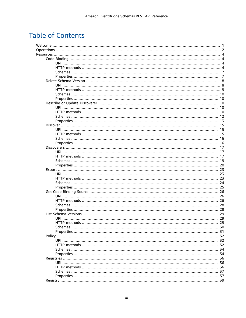## **Table of Contents**

|  | 4   |
|--|-----|
|  |     |
|  |     |
|  |     |
|  |     |
|  |     |
|  |     |
|  |     |
|  |     |
|  |     |
|  |     |
|  |     |
|  |     |
|  |     |
|  | -15 |
|  |     |
|  |     |
|  |     |
|  |     |
|  |     |
|  |     |
|  |     |
|  |     |
|  |     |
|  |     |
|  |     |
|  |     |
|  |     |
|  |     |
|  |     |
|  |     |
|  |     |
|  |     |
|  |     |
|  |     |
|  |     |
|  | 29  |
|  |     |
|  |     |
|  |     |
|  |     |
|  |     |
|  |     |
|  |     |
|  |     |
|  |     |
|  |     |
|  |     |
|  |     |
|  |     |
|  |     |
|  |     |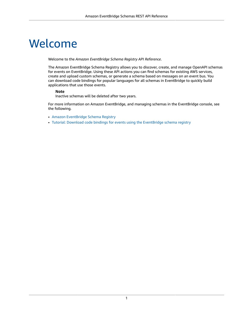# <span id="page-4-0"></span>Welcome

Welcome to the *Amazon EventBridge Schema Registry API Reference*.

The Amazon EventBridge Schema Registry allows you to discover, create, and manage OpenAPI schemas for events on EventBridge. Using these API actions you can find schemas for existing AWS services, create and upload custom schemas, or generate a schema based on messages on an event bus. You can download code bindings for popular languages for all schemas in EventBridge to quickly build applications that use those events.

### **Note**

Inactive schemas will be deleted after two years.

For more information on Amazon EventBridge, and managing schemas in the EventBridge console, see the following.

- Amazon [EventBridge](https://docs.aws.amazon.com/eventbridge/latest/userguide/eventbridge-schemas.html) Schema Registry
- Tutorial: Download code bindings for events using the [EventBridge](https://docs.aws.amazon.com/eventbridge/latest/userguide/eb-schema-download-binding-tutorial.html) schema registry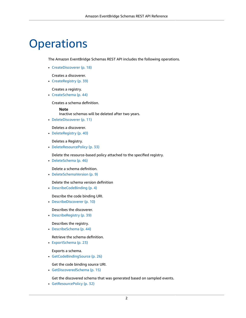# <span id="page-5-0"></span>**Operations**

The Amazon EventBridge Schemas REST API includes the following operations.

• [CreateDiscoverer \(p. 18\)](#page-21-0)

Creates a discoverer.

• [CreateRegistry \(p. 39\)](#page-42-3)

Creates a registry.

• [CreateSchema \(p. 44\)](#page-47-3)

Creates a schema definition.

#### **Note**

Inactive schemas will be deleted after two years.

• [DeleteDiscoverer \(p. 11\)](#page-14-0)

Deletes a discoverer.

• [DeleteRegistry \(p. 40\)](#page-43-0)

Deletes a Registry.

• [DeleteResourcePolicy \(p. 33\)](#page-36-0)

Delete the resource-based policy attached to the specified registry.

• [DeleteSchema \(p. 46\)](#page-49-0)

Delete a schema definition.

• [DeleteSchemaVersion \(p. 9\)](#page-12-1)

Delete the schema version definition

• [DescribeCodeBinding \(p. 4\)](#page-7-4)

Describe the code binding URI.

• [DescribeDiscoverer \(p. 10\)](#page-13-5)

Describes the discoverer.

• [DescribeRegistry \(p. 39\)](#page-42-4)

Describes the registry.

• [DescribeSchema \(p. 44\)](#page-47-4)

Retrieve the schema definition.

• [ExportSchema \(p. 23\)](#page-26-3)

Exports a schema.

• [GetCodeBindingSource \(p. 26\)](#page-29-3)

Get the code binding source URI.

• [GetDiscoveredSchema \(p. 15\)](#page-18-3)

Get the discovered schema that was generated based on sampled events.

• [GetResourcePolicy \(p. 32\)](#page-35-3)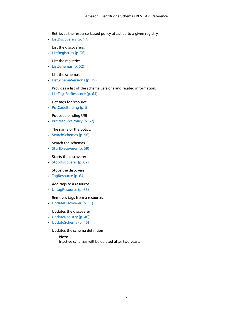Retrieves the resource-based policy attached to a given registry.

• [ListDiscoverers \(p. 17\)](#page-20-3)

List the discoverers.

• [ListRegistries \(p. 36\)](#page-39-3)

List the registries.

• [ListSchemas \(p. 52\)](#page-55-2)

List the schemas.

• [ListSchemaVersions \(p. 29\)](#page-32-3)

Provides a list of the schema versions and related information.

• [ListTagsForResource \(p. 64\)](#page-67-2)

Get tags for resource.

• [PutCodeBinding \(p. 5\)](#page-8-0)

Put code binding URI

• [PutResourcePolicy \(p. 32\)](#page-35-4)

The name of the policy.

• [SearchSchemas \(p. 56\)](#page-59-3)

Search the schemas

• [StartDiscoverer \(p. 59\)](#page-62-3)

Starts the discoverer

• [StopDiscoverer \(p. 62\)](#page-65-2)

Stops the discoverer

• [TagResource \(p. 64\)](#page-67-3)

Add tags to a resource.

• [UntagResource \(p. 65\)](#page-68-1)

Removes tags from a resource.

• [UpdateDiscoverer \(p. 11\)](#page-14-1)

Updates the discoverer

- [UpdateRegistry \(p. 40\)](#page-43-1)
- [UpdateSchema \(p. 45\)](#page-48-0)

Updates the schema definition

#### **Note**

Inactive schemas will be deleted after two years.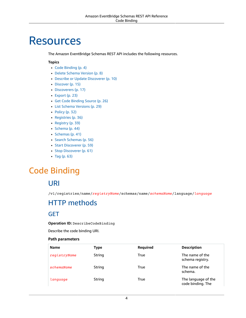# <span id="page-7-0"></span>**Resources**

The Amazon EventBridge Schemas REST API includes the following resources.

### **Topics**

- [Code Binding \(p. 4\)](#page-7-1)
- Delete Schema [Version \(p. 8\)](#page-11-0)
- Describe or Update [Discoverer \(p. 10\)](#page-13-2)
- [Discover \(p. 15\)](#page-18-0)
- [Discoverers \(p. 17\)](#page-20-0)
- [Export \(p. 23\)](#page-26-0)
- Get Code Binding [Source \(p. 26\)](#page-29-0)
- List Schema [Versions \(p. 29\)](#page-32-0)
- [Policy \(p. 32\)](#page-35-0)
- [Registries \(p. 36\)](#page-39-0)
- [Registry \(p. 39\)](#page-42-0)
- [Schema \(p. 44\)](#page-47-0)
- [Schemas \(p. 41\)](#page-44-0)
- Search [Schemas \(p. 56\)](#page-59-0)
- Start [Discoverer \(p. 59\)](#page-62-0)
- Stop [Discoverer \(p. 61\)](#page-64-1)
- [Tag \(p. 63\)](#page-66-1)

## <span id="page-7-2"></span><span id="page-7-1"></span>Code Binding

### URI

/v1/registries/name/*registryName*/schemas/name/*schemaName*/language/*language*

## <span id="page-7-3"></span>HTTP methods

### <span id="page-7-4"></span>GET

#### **Operation ID:** DescribeCodeBinding

Describe the code binding URI.

| <b>Name</b>  | Type   | <b>Required</b> | <b>Description</b>                       |
|--------------|--------|-----------------|------------------------------------------|
| registryName | String | True            | The name of the<br>schema registry.      |
| schemaName   | String | True            | The name of the<br>schema.               |
| language     | String | True            | The language of the<br>code binding. The |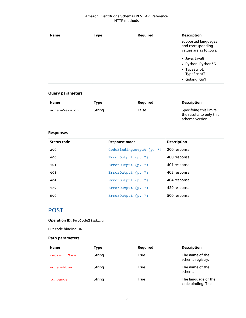| <b>Name</b> | <b>Type</b> | <b>Required</b> | <b>Description</b>                                                 |
|-------------|-------------|-----------------|--------------------------------------------------------------------|
|             |             |                 | supported languages<br>and corresponding<br>values are as follows: |
|             |             |                 | • Java: Java8                                                      |
|             |             |                 | • Python: Python36                                                 |
|             |             |                 | • TypeScript:<br>TypeScript3                                       |
|             |             |                 | • Golang: Go1                                                      |

| Name          | Type   | Reguired | <b>Description</b>                                                    |
|---------------|--------|----------|-----------------------------------------------------------------------|
| schemaVersion | String | False    | Specifying this limits<br>the results to only this<br>schema version. |

### **Responses**

| Status code | Response model           | <b>Description</b> |
|-------------|--------------------------|--------------------|
| 200         | CodeBindingOutput (p. 7) | 200 response       |
| 400         | ErrorOutput (p. 7)       | 400 response       |
| 401         | ErrorOutput (p. 7)       | 401 response       |
| 403         | ErrorOutput $(p. 7)$     | 403 response       |
| 404         | ErrorOutput (p. 7)       | 404 response       |
| 429         | ErrorOutput (p. 7)       | 429 response       |
| 500         | ErrorOutput $(p. 7)$     | 500 response       |

### <span id="page-8-0"></span>POST

### **Operation ID:** PutCodeBinding

Put code binding URI

| <b>Name</b>  | Type   | <b>Required</b> | <b>Description</b>                       |
|--------------|--------|-----------------|------------------------------------------|
| registryName | String | True            | The name of the<br>schema registry.      |
| schemaName   | String | True            | The name of the<br>schema.               |
| language     | String | True            | The language of the<br>code binding. The |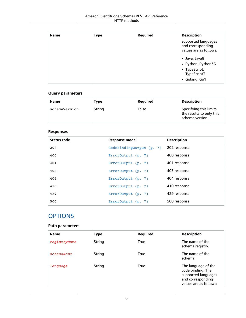| <b>Name</b> | <b>Type</b> | Required | <b>Description</b>                                                 |
|-------------|-------------|----------|--------------------------------------------------------------------|
|             |             |          | supported languages<br>and corresponding<br>values are as follows: |
|             |             |          | • Java: Java8                                                      |
|             |             |          | • Python: Python36                                                 |
|             |             |          | • TypeScript:                                                      |
|             |             |          | TypeScript3                                                        |
|             |             |          | • Golang: Go1                                                      |

| Name          | Type   | Reguired | <b>Description</b>                                                    |
|---------------|--------|----------|-----------------------------------------------------------------------|
| schemaVersion | String | False    | Specifying this limits<br>the results to only this<br>schema version. |

### **Responses**

| Status code | Response model           | <b>Description</b> |
|-------------|--------------------------|--------------------|
| 202         | CodeBindingOutput (p. 7) | 202 response       |
| 400         | ErrorOutput (p. 7)       | 400 response       |
| 401         | ErrorOutput (p. 7)       | 401 response       |
| 403         | ErrorOutput (p. 7)       | 403 response       |
| 404         | ErrorOutput (p. 7)       | 404 response       |
| 410         | ErrorOutput (p. 7)       | 410 response       |
| 429         | ErrorOutput (p. 7)       | 429 response       |
| 500         | ErrorOutput (p. 7)       | 500 response       |

### **OPTIONS**

| <b>Name</b>  | <b>Type</b> | Required    | <b>Description</b>                                                                                             |
|--------------|-------------|-------------|----------------------------------------------------------------------------------------------------------------|
| registryName | String      | True        | The name of the<br>schema registry.                                                                            |
| schemaName   | String      | True        | The name of the<br>schema.                                                                                     |
| language     | String      | <b>True</b> | The language of the<br>code binding. The<br>supported languages<br>and corresponding<br>values are as follows: |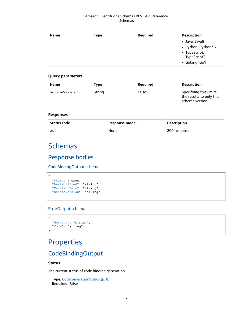| <b>Name</b> | Type | Required | <b>Description</b> |
|-------------|------|----------|--------------------|
|             |      |          | • Java: Java8      |
|             |      |          | • Python: Python36 |
|             |      |          | • TypeScript:      |
|             |      |          | TypeScript3        |
|             |      |          | • Golang: Go1      |

| Specifying this limits<br>String<br>False<br>schemaVersion<br>the results to only this<br>schema version. | Name | Type | <b>Required</b> | <b>Description</b> |
|-----------------------------------------------------------------------------------------------------------|------|------|-----------------|--------------------|
|                                                                                                           |      |      |                 |                    |

#### **Responses**

| Status code | Response model | <b>Description</b> |
|-------------|----------------|--------------------|
| 200         | None           | 200 response       |

## <span id="page-10-0"></span>Schemas

### Response bodies

<span id="page-10-2"></span>CodeBindingOutput schema

```
\{ "Status": enum,
   "LastModified": "string",
   "CreationDate": "string",
   "SchemaVersion": "string"
}
```
### <span id="page-10-3"></span>ErrorOutput schema

```
{
   "Message": "string",
   "Code": "string"
}
```
## <span id="page-10-1"></span>Properties

### CodeBindingOutput

### <span id="page-10-4"></span>**Status**

The current status of code binding generation.

**Type**: [CodeGenerationStatus \(p. 8\)](#page-11-7) **Required**: False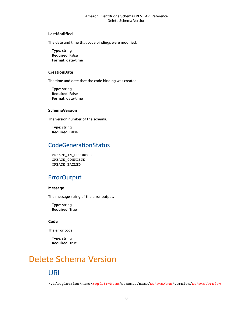### <span id="page-11-2"></span>**LastModified**

The date and time that code bindings were modified.

**Type**: string **Required**: False **Format**: date-time

### <span id="page-11-3"></span>**CreationDate**

The time and date that the code binding was created.

**Type**: string **Required**: False **Format**: date-time

### <span id="page-11-4"></span>**SchemaVersion**

The version number of the schema.

**Type**: string **Required**: False

### <span id="page-11-7"></span>CodeGenerationStatus

CREATE\_IN\_PROGRESS CREATE\_COMPLETE CREATE\_FAILED

### **ErrorOutput**

### <span id="page-11-5"></span>**Message**

The message string of the error output.

**Type**: string **Required**: True

### <span id="page-11-6"></span>**Code**

The error code.

**Type**: string **Required**: True

## <span id="page-11-1"></span><span id="page-11-0"></span>Delete Schema Version

## URI

/v1/registries/name/*registryName*/schemas/name/*schemaName*/version/*schemaVersion*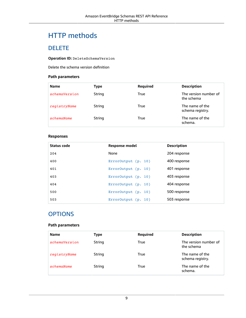## <span id="page-12-0"></span>HTTP methods

### <span id="page-12-1"></span>DELETE

### **Operation ID:** DeleteSchemaVersion

Delete the schema version definition

### **Path parameters**

| <b>Name</b>   | Type   | Required | <b>Description</b>                  |
|---------------|--------|----------|-------------------------------------|
| schemaVersion | String | True     | The version number of<br>the schema |
| registryName  | String | True     | The name of the<br>schema registry. |
| schemaName    | String | True     | The name of the<br>schema.          |

### **Responses**

| Status code | Response model        | <b>Description</b> |
|-------------|-----------------------|--------------------|
| 204         | None                  | 204 response       |
| 400         | ErrorOutput(p. 10)    | 400 response       |
| 401         | ErrorOutput (p. 10)   | 401 response       |
| 403         | ErrorOutput (p. 10)   | 403 response       |
| 404         | ErrorOutput $(p. 10)$ | 404 response       |
| 500         | ErrorOutput (p. 10)   | 500 response       |
| 503         | ErrorOutput $(p. 10)$ | 503 response       |

### **OPTIONS**

| <b>Name</b>   | Type   | Required | <b>Description</b>                  |
|---------------|--------|----------|-------------------------------------|
| schemaVersion | String | True     | The version number of<br>the schema |
| registryName  | String | True     | The name of the<br>schema registry. |
| schemaName    | String | True     | The name of the<br>schema.          |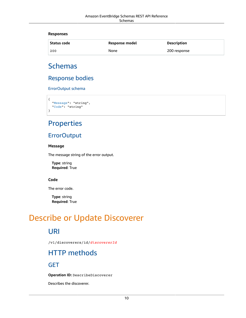#### **Responses**

| Status code | Response model | <b>Description</b> |
|-------------|----------------|--------------------|
| 200         | None           | 200 response       |

## <span id="page-13-0"></span>Schemas

### Response bodies

<span id="page-13-6"></span>ErrorOutput schema

```
{
   "Message": "string",
   "Code": "string"
}
```
## <span id="page-13-1"></span>Properties

### **ErrorOutput**

#### <span id="page-13-7"></span>**Message**

The message string of the error output.

**Type**: string **Required**: True

### <span id="page-13-8"></span>**Code**

The error code.

**Type**: string **Required**: True

## <span id="page-13-3"></span><span id="page-13-2"></span>Describe or Update Discoverer

### URI

/v1/discoverers/id/*discovererId*

## <span id="page-13-4"></span>HTTP methods

<span id="page-13-5"></span>GET

**Operation ID:** DescribeDiscoverer

Describes the discoverer.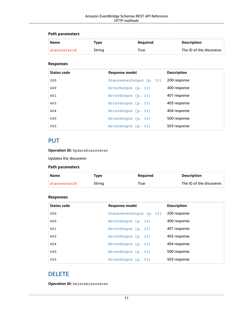### **Path parameters**

| <b>Name</b>  | Type   | <b>Reauired</b> | <b>Description</b>        |
|--------------|--------|-----------------|---------------------------|
| discovererId | String | True            | The ID of the discoverer. |

### **Responses**

| Status code | Response model           | <b>Description</b> |
|-------------|--------------------------|--------------------|
| 200         | DiscovererOutput (p. 13) | 200 response       |
| 400         | $ErrorOutput$ (p. 13)    | 400 response       |
| 401         | ErrorOutput(p. 13)       | 401 response       |
| 403         | ErrorOutput (p. 13)      | 403 response       |
| 404         | ErrorOutput $(p. 13)$    | 404 response       |
| 500         | ErrorOutput (p. 13)      | 500 response       |
| 503         | ErrorOutput (p. 13)      | 503 response       |

### <span id="page-14-1"></span>PUT

**Operation ID:** UpdateDiscoverer

Updates the discoverer

### **Path parameters**

| Name         | Tvpe   | Reguired | <b>Description</b>        |
|--------------|--------|----------|---------------------------|
| discovererId | String | True     | The ID of the discoverer. |

### **Responses**

| Status code | Response model           | <b>Description</b> |
|-------------|--------------------------|--------------------|
| 200         | DiscovererOutput (p. 13) | 200 response       |
| 400         | ErrorOutput (p. 13)      | 400 response       |
| 401         | ErrorOutput (p. 13)      | 401 response       |
| 403         | ErrorOutput (p. 13)      | 403 response       |
| 404         | ErrorOutput $(p. 13)$    | 404 response       |
| 500         | ErrorOutput (p. 13)      | 500 response       |
| 503         | ErrorOutput (p. 13)      | 503 response       |

### <span id="page-14-0"></span>DELETE

**Operation ID:** DeleteDiscoverer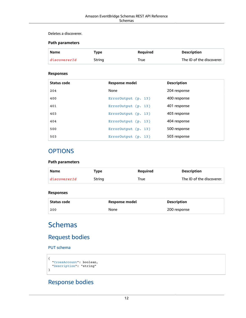#### Deletes a discoverer.

### **Path parameters**

| <b>Name</b>  | Type   | Reguired | <b>Description</b>        |
|--------------|--------|----------|---------------------------|
| discovererId | String | True     | The ID of the discoverer. |

### **Responses**

| Status code | <b>Response model</b> | <b>Description</b> |
|-------------|-----------------------|--------------------|
| 204         | None                  | 204 response       |
| 400         | ErrorOutput (p. 13)   | 400 response       |
| 401         | ErrorOutput (p. 13)   | 401 response       |
| 403         | ErrorOutput (p. 13)   | 403 response       |
| 404         | ErrorOutput (p. 13)   | 404 response       |
| 500         | ErrorOutput (p. 13)   | 500 response       |
| 503         | ErrorOutput (p. 13)   | 503 response       |

### **OPTIONS**

### **Path parameters**

| Name         | Type   | Reguired | <b>Description</b>        |
|--------------|--------|----------|---------------------------|
| discovererId | String | True     | The ID of the discoverer. |

### **Responses**

| Status code | Response model | <b>Description</b> |
|-------------|----------------|--------------------|
| 200         | None           | 200 response       |

## <span id="page-15-0"></span>**Schemas**

### Request bodies

PUT schema

```
{
  "CrossAccount": boolean,
   "Description": "string"
}
```
## Response bodies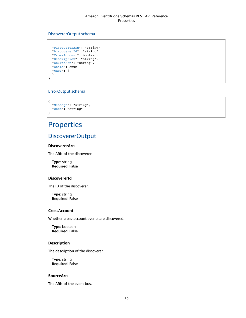#### <span id="page-16-1"></span>DiscovererOutput schema

```
{
  "DiscovererArn": "string",
   "DiscovererId": "string",
   "CrossAccount": boolean,
   "Description": "string",
   "SourceArn": "string",
   "State": enum,
  "tags": {
   }
}
```
### <span id="page-16-2"></span>ErrorOutput schema

```
{
   "Message": "string",
   "Code": "string"
}
```
## <span id="page-16-0"></span>**Properties**

### DiscovererOutput

### <span id="page-16-3"></span>**DiscovererArn**

The ARN of the discoverer.

**Type**: string **Required**: False

#### <span id="page-16-4"></span>**DiscovererId**

The ID of the discoverer.

**Type**: string **Required**: False

#### <span id="page-16-5"></span>**CrossAccount**

Whether cross-account events are discovered.

**Type**: boolean **Required**: False

### <span id="page-16-6"></span>**Description**

The description of the discoverer.

**Type**: string **Required**: False

#### <span id="page-16-7"></span>**SourceArn**

The ARN of the event bus.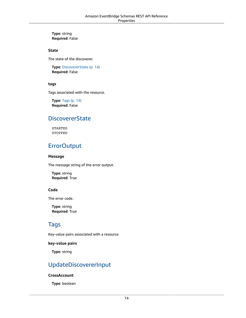**Type**: string **Required**: False

#### <span id="page-17-1"></span>**State**

The state of the discoverer.

**Type**: [DiscovererState \(p. 14\)](#page-17-5) **Required**: False

### <span id="page-17-2"></span>**tags**

Tags associated with the resource.

**Type**: [Tags \(p. 14\)](#page-17-6) **Required**: False

### <span id="page-17-5"></span>**DiscovererState**

STARTED STOPPED

### **ErrorOutput**

#### <span id="page-17-3"></span>**Message**

The message string of the error output.

**Type**: string **Required**: True

### <span id="page-17-4"></span>**Code**

The error code.

**Type**: string **Required**: True

### <span id="page-17-6"></span>Tags

Key-value pairs associated with a resource.

#### **key-value pairs**

**Type**: string

### UpdateDiscovererInput

#### <span id="page-17-0"></span>**CrossAccount**

**Type**: boolean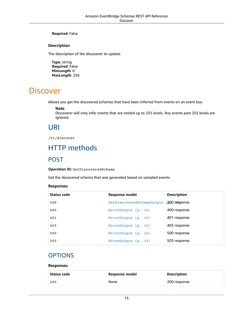#### **Required**: False

#### <span id="page-18-4"></span>**Description**

The description of the discoverer to update.

**Type**: string **Required**: False **MinLength**: 0 **MaxLength**: 256

## <span id="page-18-0"></span>**Discover**

Allows you get the discovered schemas that have been inferred from events on an event bus.

#### **Note**

Discoverer will only infer events that are nested up to 255 levels. Any events past 255 levels are ignored.

### <span id="page-18-1"></span>URI

/v1/discover

## <span id="page-18-2"></span>HTTP methods

### <span id="page-18-3"></span>POST

**Operation ID:** GetDiscoveredSchema

Get the discovered schema that was generated based on sampled events.

#### **Responses**

| Status code | Response model                          | <b>Description</b> |
|-------------|-----------------------------------------|--------------------|
| 200         | GetDiscoveredSchemaOutput (200 response |                    |
| 400         | ErrorOutput (p. 16)                     | 400 response       |
| 401         | ErrorOutput $(p. 16)$                   | 401 response       |
| 403         | ErrorOutput(p. 16)                      | 403 response       |
| 500         | ErrorOutput $(p. 16)$                   | 500 response       |
| 503         | ErrorOutput $(p. 16)$                   | 503 response       |

### **OPTIONS**

#### **Responses**

| Status code | Response model | <b>Description</b> |
|-------------|----------------|--------------------|
| 200         | None           | 200 response       |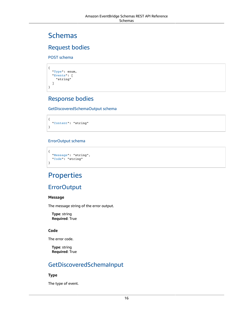## <span id="page-19-0"></span>Schemas

### Request bodies

POST schema

```
{
   "Type": enum,
   "Events": [
     "string"
   ]
}
```
### Response bodies

<span id="page-19-2"></span>GetDiscoveredSchemaOutput schema

```
{
   "Content": "string"
}
```
### <span id="page-19-3"></span>ErrorOutput schema

```
{
   "Message": "string",
   "Code": "string"
}
```
## <span id="page-19-1"></span>**Properties**

### **ErrorOutput**

### <span id="page-19-5"></span>**Message**

The message string of the error output.

**Type**: string **Required**: True

### <span id="page-19-6"></span>**Code**

The error code.

**Type**: string **Required**: True

## GetDiscoveredSchemaInput

### <span id="page-19-4"></span>**Type**

The type of event.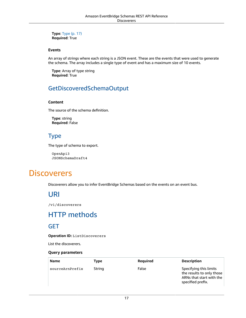**Type**: [Type \(p. 17\)](#page-20-6) **Required**: True

#### <span id="page-20-4"></span>**Events**

An array of strings where each string is a JSON event. These are the events that were used to generate the schema. The array includes a single type of event and has a maximum size of 10 events.

**Type**: Array of type string **Required**: True

### GetDiscoveredSchemaOutput

#### <span id="page-20-5"></span>**Content**

The source of the schema definition.

**Type**: string **Required**: False

### <span id="page-20-6"></span>Type

The type of schema to export.

OpenApi3 JSONSchemaDraft4

## <span id="page-20-1"></span><span id="page-20-0"></span>**Discoverers**

Discoverers allow you to infer EventBridge Schemas based on the events on an event bus.

## URI

/v1/discoverers

## <span id="page-20-2"></span>HTTP methods

### <span id="page-20-3"></span>**GET**

**Operation ID:** ListDiscoverers

List the discoverers.

#### **Query parameters**

| <b>Name</b>     | Type   | Required | <b>Description</b>                                                                                   |
|-----------------|--------|----------|------------------------------------------------------------------------------------------------------|
| sourceArnPrefix | String | False    | Specifying this limits<br>the results to only those<br>ARNs that start with the<br>specified prefix. |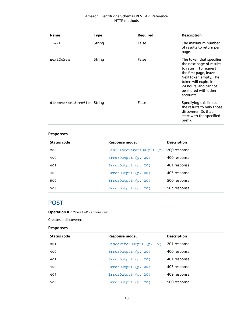#### Amazon EventBridge Schemas REST API Reference HTTP methods

| <b>Name</b>        | <b>Type</b> | Required | <b>Description</b>                                                                                                                                                                                                  |
|--------------------|-------------|----------|---------------------------------------------------------------------------------------------------------------------------------------------------------------------------------------------------------------------|
| limit              | String      | False    | The maximum number<br>of results to return per<br>page.                                                                                                                                                             |
| nextToken          | String      | False    | The token that specifies<br>the next page of results<br>to return. To request<br>the first page, leave<br>NextToken empty. The<br>token will expire in<br>24 hours, and cannot<br>be shared with other<br>accounts. |
| discovererIdPrefix | String      | False    | Specifying this limits<br>the results to only those<br>discoverer IDs that<br>start with the specified<br>prefix.                                                                                                   |

### **Responses**

| Status code | Response model                          | <b>Description</b> |
|-------------|-----------------------------------------|--------------------|
| 200         | ListDiscoverersOutput (p. 1200 response |                    |
| 400         | ErrorOutput (p. 20)                     | 400 response       |
| 401         | ErrorOutput (p. 20)                     | 401 response       |
| 403         | ErrorOutput (p. 20)                     | 403 response       |
| 500         | ErrorOutput $(p. 20)$                   | 500 response       |
| 503         | ErrorOutput (p. 20)                     | 503 response       |

### <span id="page-21-0"></span>POST

**Operation ID:** CreateDiscoverer

Creates a discoverer.

### **Responses**

| Status code | Response model           | <b>Description</b> |
|-------------|--------------------------|--------------------|
| 201         | DiscovererOutput (p. 19) | 201 response       |
| 400         | ErrorOutput (p. 20)      | 400 response       |
| 401         | ErrorOutput $(p. 20)$    | 401 response       |
| 403         | ErrorOutput $(p. 20)$    | 403 response       |
| 409         | ErrorOutput (p. 20)      | 409 response       |
| 500         | $ErrorOutput$ (p. 20)    | 500 response       |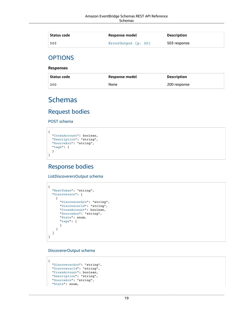| Status code | Response model      | Description  |
|-------------|---------------------|--------------|
| 503         | ErrorOutput (p. 20) | 503 response |

### **OPTIONS**

**Responses**

| Status code | Response model | Description  |
|-------------|----------------|--------------|
| 200         | None           | 200 response |

## <span id="page-22-0"></span>Schemas

### Request bodies

POST schema

```
{
   "CrossAccount": boolean,
   "Description": "string",
   "SourceArn": "string",
  "tags": {
   }
}
```
### Response bodies

<span id="page-22-1"></span>ListDiscoverersOutput schema

```
{
   "NextToken": "string",
   "Discoverers": [
\{ \{ \} "DiscovererArn": "string",
      "DiscovererId": "string",
       "CrossAccount": boolean,
      "SourceArn": "string",
       "State": enum,
       "tags": {
       }
     }
   ]
}
```
<span id="page-22-2"></span>DiscovererOutput schema

```
{
   "DiscovererArn": "string",
   "DiscovererId": "string",
   "CrossAccount": boolean,
   "Description": "string",
   "SourceArn": "string",
   "State": enum,
```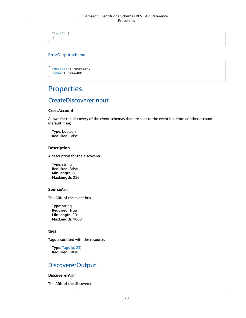["tags"](#page-24-5): { } }

### <span id="page-23-1"></span>ErrorOutput schema

```
{
   "Message": "string",
   "Code": "string"
}
```
## <span id="page-23-0"></span>**Properties**

### CreateDiscovererInput

### <span id="page-23-2"></span>**CrossAccount**

Allows for the discovery of the event schemas that are sent to the event bus from another account. (default: true)

**Type**: boolean **Required**: False

### <span id="page-23-3"></span>**Description**

A description for the discoverer.

**Type**: string **Required**: False **MinLength**: 0 **MaxLength**: 256

#### <span id="page-23-4"></span>**SourceArn**

The ARN of the event bus.

**Type**: string **Required**: True **MinLength**: 20 **MaxLength**: 1600

### <span id="page-23-5"></span>**tags**

Tags associated with the resource.

**Type**: [Tags \(p. 23\)](#page-26-6) **Required**: False

### DiscovererOutput

#### <span id="page-23-6"></span>**DiscovererArn**

The ARN of the discoverer.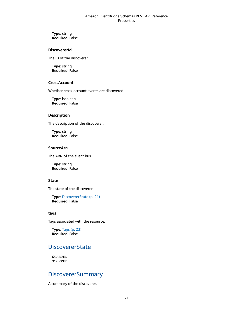**Type**: string **Required**: False

#### <span id="page-24-0"></span>**DiscovererId**

The ID of the discoverer.

**Type**: string **Required**: False

#### <span id="page-24-1"></span>**CrossAccount**

Whether cross-account events are discovered.

**Type**: boolean **Required**: False

#### <span id="page-24-2"></span>**Description**

The description of the discoverer.

**Type**: string **Required**: False

### <span id="page-24-3"></span>**SourceArn**

The ARN of the event bus.

**Type**: string **Required**: False

#### <span id="page-24-4"></span>**State**

The state of the discoverer.

**Type**: [DiscovererState \(p. 21\)](#page-24-6) **Required**: False

#### <span id="page-24-5"></span>**tags**

Tags associated with the resource.

**Type**: [Tags \(p. 23\)](#page-26-6) **Required**: False

### <span id="page-24-6"></span>**DiscovererState**

STARTED STOPPED

### <span id="page-24-7"></span>**DiscovererSummary**

A summary of the discoverer.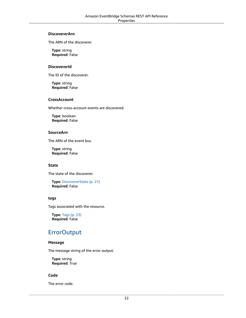#### <span id="page-25-0"></span>**DiscovererArn**

The ARN of the discoverer.

**Type**: string **Required**: False

#### <span id="page-25-1"></span>**DiscovererId**

The ID of the discoverer.

**Type**: string **Required**: False

### <span id="page-25-2"></span>**CrossAccount**

Whether cross-account events are discovered.

**Type**: boolean **Required**: False

#### <span id="page-25-3"></span>**SourceArn**

The ARN of the event bus.

**Type**: string **Required**: False

### <span id="page-25-4"></span>**State**

The state of the discoverer.

**Type**: [DiscovererState \(p. 21\)](#page-24-6) **Required**: False

#### <span id="page-25-5"></span>**tags**

Tags associated with the resource.

**Type**: [Tags \(p. 23\)](#page-26-6) **Required**: False

### **ErrorOutput**

#### <span id="page-25-6"></span>**Message**

The message string of the error output.

**Type**: string **Required**: True

### <span id="page-25-7"></span>**Code**

The error code.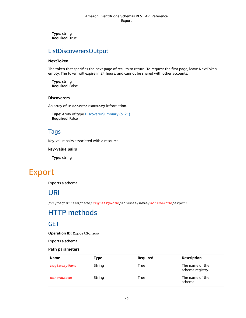**Type**: string **Required**: True

### ListDiscoverersOutput

#### <span id="page-26-4"></span>**NextToken**

The token that specifies the next page of results to return. To request the first page, leave NextToken empty. The token will expire in 24 hours, and cannot be shared with other accounts.

**Type**: string **Required**: False

#### <span id="page-26-5"></span>**Discoverers**

An array of DiscovererSummary information.

**Type**: Array of type [DiscovererSummary \(p. 21\)](#page-24-7) **Required**: False

### <span id="page-26-6"></span>Tags

Key-value pairs associated with a resource.

#### **key-value pairs**

**Type**: string

## <span id="page-26-1"></span><span id="page-26-0"></span>Export

Exports a schema.

### URI

/v1/registries/name/*registryName*/schemas/name/*schemaName*/export

## <span id="page-26-2"></span>HTTP methods

### <span id="page-26-3"></span>GET

**Operation ID:** ExportSchema

Exports a schema.

| <b>Name</b>  | Type   | Required | <b>Description</b>                  |
|--------------|--------|----------|-------------------------------------|
| registryName | String | True     | The name of the<br>schema registry. |
| schemaName   | String | True     | The name of the<br>schema.          |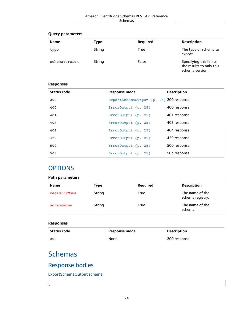| <b>Name</b>   | Type   | Required | <b>Description</b>                                                    |
|---------------|--------|----------|-----------------------------------------------------------------------|
| type          | String | True     | The type of schema to<br>export.                                      |
| schemaVersion | String | False    | Specifying this limits<br>the results to only this<br>schema version. |

### **Responses**

| Status code | <b>Response model</b>                   | <b>Description</b> |
|-------------|-----------------------------------------|--------------------|
| 200         | ExportSchema0utput (p. 24) 200 response |                    |
| 400         | ErrorOutput (p. 25)                     | 400 response       |
| 401         | ErrorOutput (p. 25)                     | 401 response       |
| 403         | ErrorOutput (p. 25)                     | 403 response       |
| 404         | ErrorOutput (p. 25)                     | 404 response       |
| 429         | ErrorOutput (p. 25)                     | 429 response       |
| 500         | ErrorOutput (p. 25)                     | 500 response       |
| 503         | $ErrorOutput$ (p. 25)                   | 503 response       |

### **OPTIONS**

### **Path parameters**

| <b>Name</b>  | Type   | Required | <b>Description</b>                  |
|--------------|--------|----------|-------------------------------------|
| registryName | String | True     | The name of the<br>schema registry. |
| schemaName   | String | True     | The name of the<br>schema.          |

### **Responses**

| Status code | Response model | <b>Description</b> |
|-------------|----------------|--------------------|
| 200         | None           | 200 response       |

## <span id="page-27-0"></span>**Schemas**

{

### Response bodies

<span id="page-27-1"></span>ExportSchemaOutput schema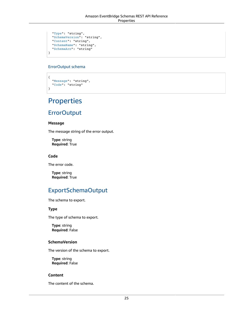```
 "Type": "string",
 "SchemaVersion": "string",
  "Content": "string",
  "SchemaName": "string",
  "SchemaArn": "string"
}
```
### <span id="page-28-1"></span>ErrorOutput schema

```
{
   "Message": "string",
   "Code": "string"
}
```
## <span id="page-28-0"></span>**Properties**

### **ErrorOutput**

#### <span id="page-28-5"></span>**Message**

The message string of the error output.

**Type**: string **Required**: True

### <span id="page-28-6"></span>**Code**

The error code.

**Type**: string **Required**: True

### ExportSchemaOutput

The schema to export.

### <span id="page-28-2"></span>**Type**

The type of schema to export.

**Type**: string **Required**: False

### <span id="page-28-3"></span>**SchemaVersion**

The version of the schema to export.

**Type**: string **Required**: False

### <span id="page-28-4"></span>**Content**

The content of the schema.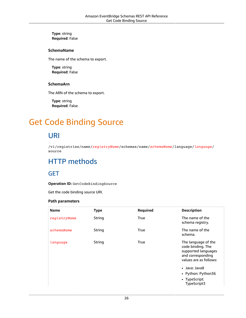**Type**: string **Required**: False

#### <span id="page-29-4"></span>**SchemaName**

The name of the schema to export.

**Type**: string **Required**: False

### <span id="page-29-5"></span>**SchemaArn**

The ARN of the schema to export.

**Type**: string **Required**: False

## <span id="page-29-1"></span><span id="page-29-0"></span>Get Code Binding Source

## URI

/v1/registries/name/*registryName*/schemas/name/*schemaName*/language/*language*/ source

## <span id="page-29-2"></span>HTTP methods

### <span id="page-29-3"></span>**GET**

**Operation ID:** GetCodeBindingSource

Get the code binding source URI.

| <b>Name</b>  | <b>Type</b> | Required | <b>Description</b>                                                                                             |
|--------------|-------------|----------|----------------------------------------------------------------------------------------------------------------|
| registryName | String      | True     | The name of the<br>schema registry.                                                                            |
| schemaName   | String      | True     | The name of the<br>schema.                                                                                     |
| language     | String      | True     | The language of the<br>code binding. The<br>supported languages<br>and corresponding<br>values are as follows: |
|              |             |          | • Java: Java8                                                                                                  |
|              |             |          | • Python: Python36                                                                                             |
|              |             |          | • TypeScript:<br>TypeScript3                                                                                   |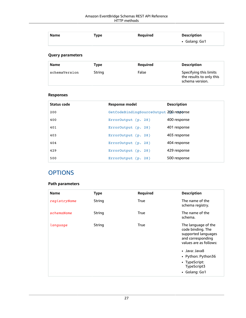| <b>Name</b> | Type | Reguired | <b>Description</b> |
|-------------|------|----------|--------------------|
|             |      |          | • Golang: Go1      |

| Name          | Type   | Reguired | <b>Description</b>                                                    |
|---------------|--------|----------|-----------------------------------------------------------------------|
| schemaVersion | String | False    | Specifying this limits<br>the results to only this<br>schema version. |

### **Responses**

| Status code | <b>Response model</b>                   | <b>Description</b> |
|-------------|-----------------------------------------|--------------------|
| 200         | GetCodeBindingSourceOutput 200.response |                    |
| 400         | $ErrorOutput$ (p. 28)                   | 400 response       |
| 401         | ErrorOutput (p. 28)                     | 401 response       |
| 403         | ErrorOutput (p. 28)                     | 403 response       |
| 404         | ErrorOutput (p. 28)                     | 404 response       |
| 429         | ErrorOutput (p. 28)                     | 429 response       |
| 500         | ErrorOutput (p. 28)                     | 500 response       |

### **OPTIONS**

| <b>Name</b>  | <b>Type</b> | Required    | <b>Description</b>                                                                                             |
|--------------|-------------|-------------|----------------------------------------------------------------------------------------------------------------|
| registryName | String      | <b>True</b> | The name of the<br>schema registry.                                                                            |
| schemaName   | String      | <b>True</b> | The name of the<br>schema.                                                                                     |
| language     | String      | <b>True</b> | The language of the<br>code binding. The<br>supported languages<br>and corresponding<br>values are as follows: |
|              |             |             | • Java: Java8<br>• Python: Python36<br>• TypeScript:<br>TypeScript3<br>• Golang: Go1                           |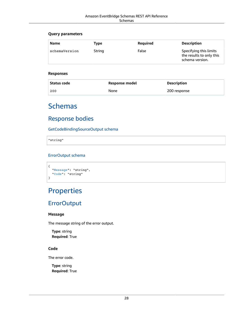| Name          | Type   | Reguired | <b>Description</b>                                                    |
|---------------|--------|----------|-----------------------------------------------------------------------|
| schemaVersion | String | False    | Specifying this limits<br>the results to only this<br>schema version. |

#### **Responses**

| Status code | Response model | <b>Description</b> |
|-------------|----------------|--------------------|
| 200         | None           | 200 response       |

## <span id="page-31-0"></span>Schemas

### Response bodies

<span id="page-31-2"></span>GetCodeBindingSourceOutput schema

"string"

### <span id="page-31-3"></span>ErrorOutput schema

```
{
   "Message": "string",
   "Code": "string"
}
```
## <span id="page-31-1"></span>**Properties**

### **ErrorOutput**

#### <span id="page-31-4"></span>**Message**

The message string of the error output.

**Type**: string **Required**: True

### <span id="page-31-5"></span>**Code**

The error code.

**Type**: string **Required**: True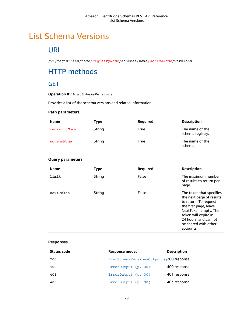## <span id="page-32-1"></span><span id="page-32-0"></span>List Schema Versions

## URI

/v1/registries/name/*registryName*/schemas/name/*schemaName*/versions

## <span id="page-32-2"></span>HTTP methods

### <span id="page-32-3"></span>**GET**

**Operation ID:** ListSchemaVersions

Provides a list of the schema versions and related information.

### **Path parameters**

| <b>Name</b>  | Type   | Required | <b>Description</b>                  |
|--------------|--------|----------|-------------------------------------|
| registryName | String | True     | The name of the<br>schema registry. |
| schemaName   | String | True     | The name of the<br>schema.          |

### **Query parameters**

| <b>Name</b> | <b>Type</b> | Required | <b>Description</b>                                                                                                                                                                                                  |
|-------------|-------------|----------|---------------------------------------------------------------------------------------------------------------------------------------------------------------------------------------------------------------------|
| limit       | String      | False    | The maximum number<br>of results to return per<br>page.                                                                                                                                                             |
| nextToken   | String      | False    | The token that specifies<br>the next page of results<br>to return. To request<br>the first page, leave<br>NextToken empty. The<br>token will expire in<br>24 hours, and cannot<br>be shared with other<br>accounts. |

#### **Responses**

| Status code | Response model                          | <b>Description</b> |
|-------------|-----------------------------------------|--------------------|
| 200         | ListSchemaVersionsOutput (p2008response |                    |
| 400         | ErrorOutput (p. 30)                     | 400 response       |
| 401         | ErrorOutput (p. 30)                     | 401 response       |
| 403         | ErrorOutput (p. 30)                     | 403 response       |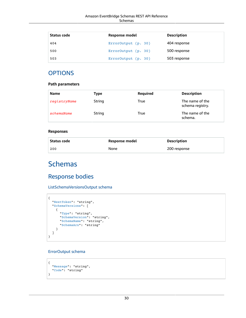| Status code | Response model      | <b>Description</b> |
|-------------|---------------------|--------------------|
| 404         | ErrorOutput (p. 30) | 404 response       |
| 500         | ErrorOutput (p. 30) | 500 response       |
| 503         | ErrorOutput (p. 30) | 503 response       |

### **OPTIONS**

#### **Path parameters**

| <b>Name</b>  | Type   | Required | <b>Description</b>                  |
|--------------|--------|----------|-------------------------------------|
| registryName | String | True     | The name of the<br>schema registry. |
| schemaName   | String | True     | The name of the<br>schema.          |

#### **Responses**

| Status code | Response model | <b>Description</b> |
|-------------|----------------|--------------------|
| 200         | None           | 200 response       |

## <span id="page-33-0"></span>**Schemas**

### Response bodies

<span id="page-33-1"></span>ListSchemaVersionsOutput schema

```
{
  "NextToken": "string",
  "SchemaVersions": [
    {
      "Type": "string",
      "SchemaVersion": "string",
 "SchemaName": "string",
 "SchemaArn": "string"
    }
  ]
}
```
### <span id="page-33-2"></span>ErrorOutput schema

```
\{ "Message": "string",
   "Code": "string"
}
```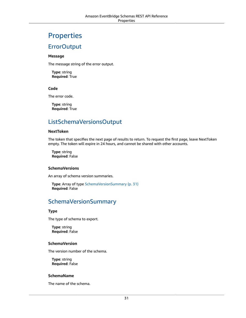## <span id="page-34-0"></span>Properties

### **ErrorOutput**

#### <span id="page-34-6"></span>**Message**

The message string of the error output.

**Type**: string **Required**: True

### <span id="page-34-7"></span>**Code**

The error code.

**Type**: string **Required**: True

### ListSchemaVersionsOutput

#### <span id="page-34-1"></span>**NextToken**

The token that specifies the next page of results to return. To request the first page, leave NextToken empty. The token will expire in 24 hours, and cannot be shared with other accounts.

**Type**: string **Required**: False

#### <span id="page-34-2"></span>**SchemaVersions**

An array of schema version summaries.

```
Type: Array of type SchemaVersionSummary (p. 31)
Required: False
```
### <span id="page-34-8"></span>SchemaVersionSummary

### <span id="page-34-3"></span>**Type**

The type of schema to export.

**Type**: string **Required**: False

#### <span id="page-34-4"></span>**SchemaVersion**

The version number of the schema.

**Type**: string **Required**: False

#### <span id="page-34-5"></span>**SchemaName**

The name of the schema.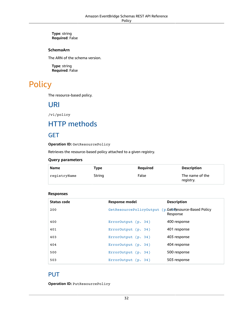#### **Type**: string **Required**: False

#### <span id="page-35-5"></span>**SchemaArn**

The ARN of the schema version.

**Type**: string **Required**: False

## <span id="page-35-1"></span><span id="page-35-0"></span>**Policy**

The resource-based policy.

### URI

/v1/policy

## <span id="page-35-2"></span>HTTP methods

### <span id="page-35-3"></span>**GET**

**Operation ID:** GetResourcePolicy

Retrieves the resource-based policy attached to a given registry.

#### **Query parameters**

| <b>Name</b>  | Type   | Reguired | <b>Description</b>           |
|--------------|--------|----------|------------------------------|
| registryName | String | False    | The name of the<br>registry. |

#### **Responses**

| Status code | Response model                                       | <b>Description</b> |
|-------------|------------------------------------------------------|--------------------|
| 200         | GetResourcePolicyOutput (p.Get4Resource-Based Policy | Response           |
| 400         | $ErrorOutput$ (p. 34)                                | 400 response       |
| 401         | ErrorOutput (p. 34)                                  | 401 response       |
| 403         | ErrorOutput (p. 34)                                  | 403 response       |
| 404         | ErrorOutput (p. 34)                                  | 404 response       |
| 500         | ErrorOutput (p. 34)                                  | 500 response       |
| 503         | ErrorOutput (p. 34)                                  | 503 response       |

### <span id="page-35-4"></span>PUT

**Operation ID:** PutResourcePolicy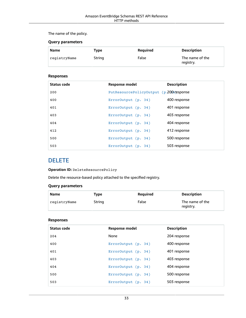### The name of the policy.

### **Query parameters**

| <b>Name</b>  | Type   | Reguired | <b>Description</b>           |
|--------------|--------|----------|------------------------------|
| registryName | String | False    | The name of the<br>registry. |

### **Responses**

| Status code | <b>Response model</b>                    | <b>Description</b> |
|-------------|------------------------------------------|--------------------|
| 200         | PutResourcePolicyOutput (p.2004response) |                    |
| 400         | ErrorOutput (p. 34)                      | 400 response       |
| 401         | ErrorOutput (p. 34)                      | 401 response       |
| 403         | ErrorOutput (p. 34)                      | 403 response       |
| 404         | ErrorOutput (p. 34)                      | 404 response       |
| 412         | ErrorOutput (p. 34)                      | 412 response       |
| 500         | ErrorOutput (p. 34)                      | 500 response       |
| 503         | ErrorOutput (p. 34)                      | 503 response       |

### DELETE

### **Operation ID:** DeleteResourcePolicy

Delete the resource-based policy attached to the specified registry.

### **Query parameters**

| <b>Name</b>  | Type   | Reguired | <b>Description</b>           |
|--------------|--------|----------|------------------------------|
| registryName | String | False    | The name of the<br>registry. |

### **Responses**

| Status code | Response model        | <b>Description</b> |
|-------------|-----------------------|--------------------|
| 204         | None                  | 204 response       |
| 400         | $ErrorOutput$ (p. 34) | 400 response       |
| 401         | ErrorOutput (p. 34)   | 401 response       |
| 403         | ErrorOutput (p. 34)   | 403 response       |
| 404         | ErrorOutput (p. 34)   | 404 response       |
| 500         | ErrorOutput (p. 34)   | 500 response       |
| 503         | ErrorOutput (p. 34)   | 503 response       |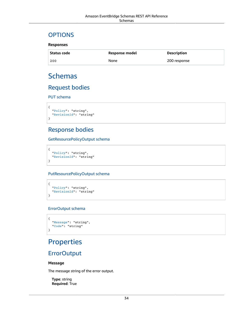### **OPTIONS**

### **Responses**

| <b>Status code</b> | Response model | <b>Description</b> |
|--------------------|----------------|--------------------|
| 200                | None           | 200 response       |

# Schemas

### Request bodies

PUT schema

```
{
   "Policy": "string",
   "RevisionId": "string"
}
```
### Response bodies

GetResourcePolicyOutput schema

```
{
   "Policy": "string",
   "RevisionId": "string"
}
```
### <span id="page-37-0"></span>PutResourcePolicyOutput schema

```
{
   "Policy": "string",
   "RevisionId": "string"
}
```
### <span id="page-37-1"></span>ErrorOutput schema

```
{
   "Message": "string",
   "Code": "string"
}
```
# **Properties**

### **ErrorOutput**

#### <span id="page-37-2"></span>**Message**

The message string of the error output.

**Type**: string **Required**: True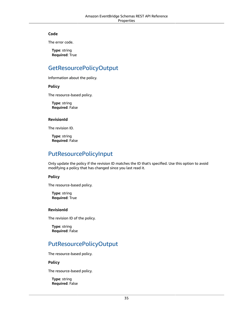#### <span id="page-38-5"></span>**Code**

The error code.

**Type**: string **Required**: True

### GetResourcePolicyOutput

Information about the policy.

<span id="page-38-2"></span>**Policy**

The resource-based policy.

**Type**: string **Required**: False

#### <span id="page-38-3"></span>**RevisionId**

The revision ID.

**Type**: string **Required**: False

### PutResourcePolicyInput

Only update the policy if the revision ID matches the ID that's specified. Use this option to avoid modifying a policy that has changed since you last read it.

### <span id="page-38-0"></span>**Policy**

The resource-based policy.

**Type**: string **Required**: True

#### <span id="page-38-1"></span>**RevisionId**

The revision ID of the policy.

**Type**: string **Required**: False

### PutResourcePolicyOutput

The resource-based policy.

#### <span id="page-38-4"></span>**Policy**

The resource-based policy.

**Type**: string **Required**: False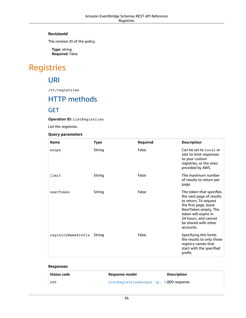### <span id="page-39-0"></span>**RevisionId**

The revision ID of the policy.

**Type**: string **Required**: False

# Registries

URI

/v1/registries

# HTTP methods

### **GET**

**Operation ID:** ListRegistries

List the registries.

#### **Query parameters**

| <b>Name</b>               | <b>Type</b> | Required | <b>Description</b>                                                                                                                                                                                                  |
|---------------------------|-------------|----------|---------------------------------------------------------------------------------------------------------------------------------------------------------------------------------------------------------------------|
| scope                     | String      | False    | Can be set to Local or<br>AWS to limit responses<br>to your custom<br>registries, or the ones<br>provided by AWS.                                                                                                   |
| limit                     | String      | False    | The maximum number<br>of results to return per<br>page.                                                                                                                                                             |
| nextToken                 | String      | False    | The token that specifies<br>the next page of results<br>to return. To request<br>the first page, leave<br>NextToken empty. The<br>token will expire in<br>24 hours, and cannot<br>be shared with other<br>accounts. |
| registryNamePrefix String |             | False    | Specifying this limits<br>the results to only those<br>registry names that<br>start with the specified<br>prefix.                                                                                                   |

### **Responses**

| Status code | Response model                          | <b>Description</b> |
|-------------|-----------------------------------------|--------------------|
| 200         | ListRegistriesOutput (p. 37200 response |                    |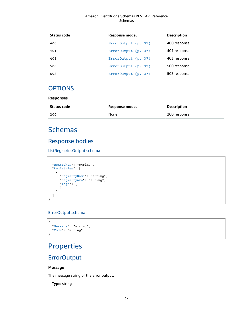| Status code | <b>Response model</b> | <b>Description</b> |
|-------------|-----------------------|--------------------|
| 400         | ErrorOutput (p. 37)   | 400 response       |
| 401         | ErrorOutput (p. 37)   | 401 response       |
| 403         | ErrorOutput (p. 37)   | 403 response       |
| 500         | ErrorOutput (p. 37)   | 500 response       |
| 503         | ErrorOutput (p. 37)   | 503 response       |

### **OPTIONS**

#### **Responses**

| ' Status code | Response model | Description  |
|---------------|----------------|--------------|
| 200           | None           | 200 response |

# Schemas

### Response bodies

<span id="page-40-0"></span>ListRegistriesOutput schema

```
{
  "NextToken": "string",
  "Registries": [
    {
 "RegistryName": "string",
 "RegistryArn": "string",
       "tags": {
       }
    }
  ]
}
```
### <span id="page-40-1"></span>ErrorOutput schema

```
{
   "Message": "string",
   "Code": "string"
}
```
# **Properties**

### **ErrorOutput**

### <span id="page-40-2"></span>**Message**

The message string of the error output.

**Type**: string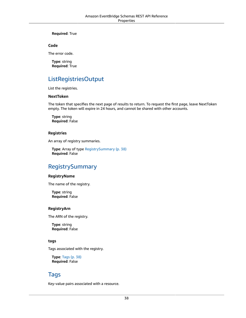#### **Required**: True

#### <span id="page-41-5"></span>**Code**

The error code.

**Type**: string **Required**: True

### ListRegistriesOutput

List the registries.

#### <span id="page-41-0"></span>**NextToken**

The token that specifies the next page of results to return. To request the first page, leave NextToken empty. The token will expire in 24 hours, and cannot be shared with other accounts.

**Type**: string **Required**: False

#### <span id="page-41-1"></span>**Registries**

An array of registry summaries.

**Type**: Array of type [RegistrySummary \(p. 38\)](#page-41-6) **Required**: False

### <span id="page-41-6"></span>RegistrySummary

#### <span id="page-41-2"></span>**RegistryName**

The name of the registry.

**Type**: string **Required**: False

#### <span id="page-41-3"></span>**RegistryArn**

The ARN of the registry.

**Type**: string **Required**: False

#### <span id="page-41-4"></span>**tags**

Tags associated with the registry.

**Type**: [Tags \(p. 38\)](#page-41-7) **Required**: False

### <span id="page-41-7"></span>Tags

Key-value pairs associated with a resource.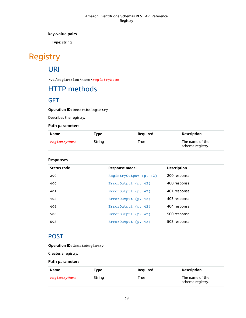**key-value pairs**

**Type**: string

# Registry

# URI

/v1/registries/name/*registryName*

# HTTP methods

### **GET**

**Operation ID:** DescribeRegistry

Describes the registry.

### **Path parameters**

| Name         | Type   | <b>Required</b> | <b>Description</b>                  |
|--------------|--------|-----------------|-------------------------------------|
| registryName | String | True            | The name of the<br>schema registry. |

### **Responses**

| Status code | <b>Response model</b>  | <b>Description</b> |
|-------------|------------------------|--------------------|
| 200         | ReqistryOutput (p. 42) | 200 response       |
| 400         | $ErrorOutput$ (p. 42)  | 400 response       |
| 401         | ErrorOutput (p. 42)    | 401 response       |
| 403         | $ErrorOutput$ (p. 42)  | 403 response       |
| 404         | ErrorOutput(p. 42)     | 404 response       |
| 500         | $ErrorOutput$ (p. 42)  | 500 response       |
| 503         | ErrorOutput (p. 42)    | 503 response       |

### POST

|  | Operation ID: CreateRegistry |  |
|--|------------------------------|--|
|--|------------------------------|--|

Creates a registry.

### **Path parameters**

| Name         | Type   | Reguired | <b>Description</b>                  |
|--------------|--------|----------|-------------------------------------|
| registryName | String | True     | The name of the<br>schema registry. |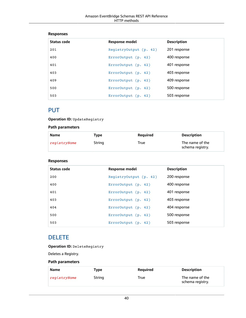### **Responses**

| Status code | Response model         | <b>Description</b> |
|-------------|------------------------|--------------------|
| 201         | RegistryOutput (p. 42) | 201 response       |
| 400         | ErrorOutput (p. 42)    | 400 response       |
| 401         | ErrorOutput (p. 42)    | 401 response       |
| 403         | ErrorOutput (p. 42)    | 403 response       |
| 409         | ErrorOutput $(p. 42)$  | 409 response       |
| 500         | ErrorOutput (p. 42)    | 500 response       |
| 503         | ErrorOutput (p. 42)    | 503 response       |

### PUT

**Operation ID:** UpdateRegistry

### **Path parameters**

| Name         | Type   | <b>Required</b> | <b>Description</b>                  |
|--------------|--------|-----------------|-------------------------------------|
| registryName | String | True            | The name of the<br>schema registry. |

### **Responses**

| Status code | <b>Response model</b>  | <b>Description</b> |
|-------------|------------------------|--------------------|
| 200         | ReqistryOutput (p. 42) | 200 response       |
| 400         | ErrorOutput (p. 42)    | 400 response       |
| 401         | ErrorOutput (p. 42)    | 401 response       |
| 403         | ErrorOutput (p. 42)    | 403 response       |
| 404         | ErrorOutput $(p. 42)$  | 404 response       |
| 500         | ErrorOutput (p. 42)    | 500 response       |
| 503         | ErrorOutput $(p. 42)$  | 503 response       |

### DELETE

**Operation ID:** DeleteRegistry

Deletes a Registry.

### **Path parameters**

| Name         | Type   | Reguired | <b>Description</b>                  |
|--------------|--------|----------|-------------------------------------|
| registryName | String | True     | The name of the<br>schema registry. |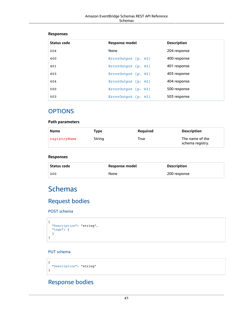#### **Responses**

| Status code | <b>Response model</b> | <b>Description</b> |
|-------------|-----------------------|--------------------|
| 204         | None                  | 204 response       |
| 400         | ErrorOutput $(p. 42)$ | 400 response       |
| 401         | ErrorOutput (p. 42)   | 401 response       |
| 403         | ErrorOutput $(p. 42)$ | 403 response       |
| 404         | ErrorOutput $(p. 42)$ | 404 response       |
| 500         | ErrorOutput (p. 42)   | 500 response       |
| 503         | ErrorOutput (p. 42)   | 503 response       |

### **OPTIONS**

### **Path parameters**

| The name of the<br>String<br>registryName<br>True<br>schema registry. |  |
|-----------------------------------------------------------------------|--|

### **Responses**

| Status code | Response model | Description  |
|-------------|----------------|--------------|
| 200         | None           | 200 response |

# **Schemas**

### Request bodies

POST schema

```
{
   "Description": "string",
   "tags": {
   }
}
```
### PUT schema

```
{
   "Description": "string"
}
```
## Response bodies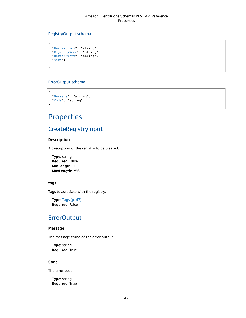#### <span id="page-45-0"></span>RegistryOutput schema

```
{
 "Description": "string",
 "RegistryName": "string",
  "RegistryArn": "string",
  "tags": {
  }
}
```
### <span id="page-45-1"></span>ErrorOutput schema

```
{
  "Message": "string",
   "Code": "string"
}
```
# **Properties**

### CreateRegistryInput

### <span id="page-45-2"></span>**Description**

A description of the registry to be created.

**Type**: string **Required**: False **MinLength**: 0 **MaxLength**: 256

#### <span id="page-45-3"></span>**tags**

Tags to associate with the registry.

**Type**: [Tags \(p. 43\)](#page-46-5) **Required**: False

### **ErrorOutput**

#### <span id="page-45-4"></span>**Message**

The message string of the error output.

**Type**: string **Required**: True

#### <span id="page-45-5"></span>**Code**

The error code.

**Type**: string **Required**: True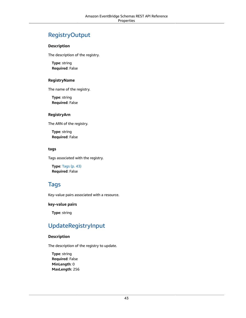### RegistryOutput

#### <span id="page-46-1"></span>**Description**

The description of the registry.

**Type**: string **Required**: False

### <span id="page-46-2"></span>**RegistryName**

The name of the registry.

**Type**: string **Required**: False

### <span id="page-46-3"></span>**RegistryArn**

The ARN of the registry.

**Type**: string **Required**: False

### <span id="page-46-4"></span>**tags**

Tags associated with the registry.

**Type**: [Tags \(p. 43\)](#page-46-5) **Required**: False

### <span id="page-46-5"></span>Tags

Key-value pairs associated with a resource.

### **key-value pairs**

**Type**: string

### UpdateRegistryInput

### <span id="page-46-0"></span>**Description**

The description of the registry to update.

**Type**: string **Required**: False **MinLength**: 0 **MaxLength**: 256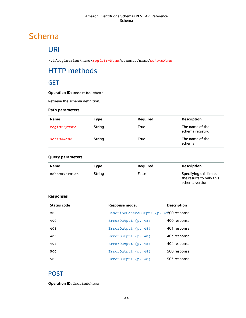# Schema

# URI

/v1/registries/name/*registryName*/schemas/name/*schemaName*

# HTTP methods

### **GET**

**Operation ID:** DescribeSchema

Retrieve the schema definition.

### **Path parameters**

| <b>Name</b>  | Type   | Required | <b>Description</b>                  |
|--------------|--------|----------|-------------------------------------|
| registryName | String | True     | The name of the<br>schema registry. |
| schemaName   | String | True     | The name of the<br>schema.          |

### **Query parameters**

| Name          | Type   | Reguired | <b>Description</b>                                                    |
|---------------|--------|----------|-----------------------------------------------------------------------|
| schemaVersion | String | False    | Specifying this limits<br>the results to only this<br>schema version. |

### **Responses**

| Status code | Response model                          | <b>Description</b> |
|-------------|-----------------------------------------|--------------------|
| 200         | DescribeSchemaOutput (p. 47200 response |                    |
| 400         | ErrorOutput (p. 48)                     | 400 response       |
| 401         | ErrorOutput (p. 48)                     | 401 response       |
| 403         | ErrorOutput (p. 48)                     | 403 response       |
| 404         | ErrorOutput (p. 48)                     | 404 response       |
| 500         | ErrorOutput (p. 48)                     | 500 response       |
| 503         | ErrorOutput (p. 48)                     | 503 response       |

### POST

**Operation ID:** CreateSchema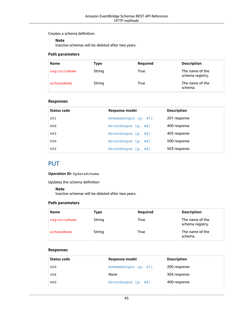Creates a schema definition.

#### **Note**

Inactive schemas will be deleted after two years.

### **Path parameters**

| <b>Name</b>  | Type   | Required | <b>Description</b>                  |
|--------------|--------|----------|-------------------------------------|
| registryName | String | True     | The name of the<br>schema registry. |
| schemaName   | String | True     | The name of the<br>schema.          |

### **Responses**

| Status code | Response model       | <b>Description</b> |
|-------------|----------------------|--------------------|
| 201         | SchemaOutput (p. 47) | 201 response       |
| 400         | ErrorOutput (p. 48)  | 400 response       |
| 403         | ErrorOutput (p. 48)  | 403 response       |
| 500         | ErrorOutput (p. 48)  | 500 response       |
| 503         | ErrorOutput (p. 48)  | 503 response       |

### **PUT**

**Operation ID:** UpdateSchema

Updates the schema definition

#### **Note**

Inactive schemas will be deleted after two years.

### **Path parameters**

| <b>Name</b>  | Type   | Required | <b>Description</b>                  |
|--------------|--------|----------|-------------------------------------|
| registryName | String | True     | The name of the<br>schema registry. |
| schemaName   | String | True     | The name of the<br>schema.          |

### **Responses**

| Status code | Response model       | <b>Description</b> |
|-------------|----------------------|--------------------|
| 200         | SchemaOutput (p. 47) | 200 response       |
| 304         | None                 | 304 response       |
| 400         | ErrorOutput (p. 48)  | 400 response       |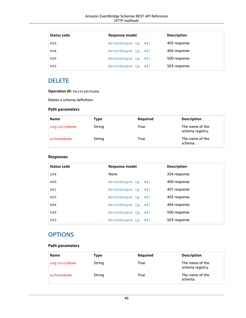| Status code | Response model      | <b>Description</b> |
|-------------|---------------------|--------------------|
| 403         | ErrorOutput (p. 48) | 403 response       |
| 404         | ErrorOutput (p. 48) | 404 response       |
| 500         | ErrorOutput (p. 48) | 500 response       |
| 503         | ErrorOutput (p. 48) | 503 response       |

### DELETE

**Operation ID:** DeleteSchema

Delete a schema definition.

### **Path parameters**

| <b>Name</b>  | Type   | Required | <b>Description</b>                  |
|--------------|--------|----------|-------------------------------------|
| registryName | String | True     | The name of the<br>schema registry. |
| schemaName   | String | True     | The name of the<br>schema.          |

### **Responses**

| Status code | <b>Response model</b> | <b>Description</b> |
|-------------|-----------------------|--------------------|
| 204         | None                  | 204 response       |
| 400         | ErrorOutput (p. 48)   | 400 response       |
| 401         | ErrorOutput (p. 48)   | 401 response       |
| 403         | ErrorOutput (p. 48)   | 403 response       |
| 404         | ErrorOutput (p. 48)   | 404 response       |
| 500         | ErrorOutput (p. 48)   | 500 response       |
| 503         | ErrorOutput (p. 48)   | 503 response       |

### **OPTIONS**

### **Path parameters**

| <b>Name</b>  | Type   | Required | <b>Description</b>                  |
|--------------|--------|----------|-------------------------------------|
| registryName | String | True     | The name of the<br>schema registry. |
| schemaName   | String | True     | The name of the<br>schema.          |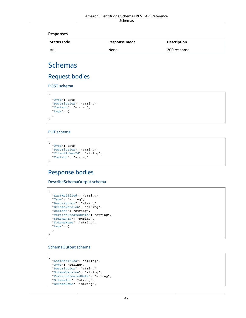#### **Responses**

| Status code | Response model | <b>Description</b> |
|-------------|----------------|--------------------|
| 200         | None           | 200 response       |

# Schemas

### Request bodies

POST schema

```
{
   "Type": enum,
  "Description": "string",
   "Content": "string",
   "tags": {
   }
}
```
### PUT schema

```
{
  "Type": enum,
   "Description": "string",
  "ClientTokenId": "string",
   "Content": "string"
}
```
### Response bodies

<span id="page-50-0"></span>DescribeSchemaOutput schema

```
{
  "LastModified": "string",
  "Type": "string",
 "Description": "string",
 "SchemaVersion": "string",
  "Content": "string",
  "VersionCreatedDate": "string",
  "SchemaArn": "string",
  "SchemaName": "string",
  "tags": {
  }
}
```
#### <span id="page-50-1"></span>SchemaOutput schema

```
{
  "LastModified": "string",
   "Type": "string",
  "Description": "string",
  "SchemaVersion": "string",
  "VersionCreatedDate": "string",
   "SchemaArn": "string",
   "SchemaName": "string",
```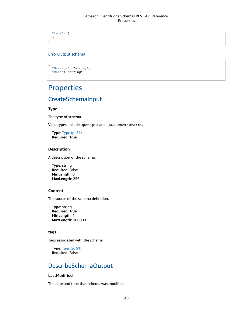```
 "tags": {
   }
}
```
### <span id="page-51-0"></span>ErrorOutput schema

```
{
 "Message": "string",
 "Code": "string"
}
```
# Properties

## CreateSchemaInput

### <span id="page-51-1"></span>**Type**

The type of schema.

Valid types include OpenApi3 and JSONSchemaDraft4.

**Type**: [Type \(p. 51\)](#page-54-5) **Required**: True

### <span id="page-51-2"></span>**Description**

A description of the schema.

**Type**: string **Required**: False **MinLength**: 0 **MaxLength**: 256

### <span id="page-51-3"></span>**Content**

The source of the schema definition.

**Type**: string **Required**: True **MinLength**: 1 **MaxLength**: 100000

### <span id="page-51-4"></span>**tags**

Tags associated with the schema.

**Type**: [Tags \(p. 51\)](#page-54-6) **Required**: False

### DescribeSchemaOutput

### <span id="page-51-5"></span>**LastModified**

The date and time that schema was modified.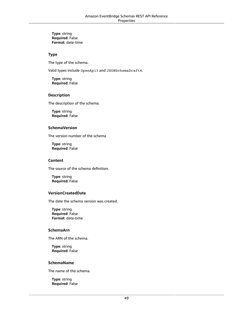**Type**: string **Required**: False **Format**: date-time

### <span id="page-52-0"></span>**Type**

The type of the schema.

Valid types include OpenApi3 and JSONSchemaDraft4.

**Type**: string **Required**: False

#### <span id="page-52-1"></span>**Description**

The description of the schema.

**Type**: string **Required**: False

#### <span id="page-52-2"></span>**SchemaVersion**

The version number of the schema

**Type**: string **Required**: False

#### <span id="page-52-3"></span>**Content**

The source of the schema definition.

**Type**: string **Required**: False

### <span id="page-52-4"></span>**VersionCreatedDate**

The date the schema version was created.

**Type**: string **Required**: False **Format**: date-time

#### <span id="page-52-5"></span>**SchemaArn**

The ARN of the schema.

**Type**: string **Required**: False

#### <span id="page-52-6"></span>**SchemaName**

The name of the schema.

**Type**: string **Required**: False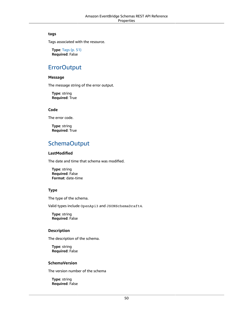#### <span id="page-53-0"></span>**tags**

Tags associated with the resource.

**Type**: [Tags \(p. 51\)](#page-54-6) **Required**: False

### **ErrorOutput**

#### <span id="page-53-5"></span>**Message**

The message string of the error output.

**Type**: string **Required**: True

### <span id="page-53-6"></span>**Code**

The error code.

**Type**: string **Required**: True

### SchemaOutput

### <span id="page-53-1"></span>**LastModified**

The date and time that schema was modified.

**Type**: string **Required**: False **Format**: date-time

### <span id="page-53-2"></span>**Type**

The type of the schema.

Valid types include OpenApi3 and JSONSchemaDraft4.

**Type**: string **Required**: False

#### <span id="page-53-3"></span>**Description**

The description of the schema.

**Type**: string **Required**: False

#### <span id="page-53-4"></span>**SchemaVersion**

The version number of the schema

**Type**: string **Required**: False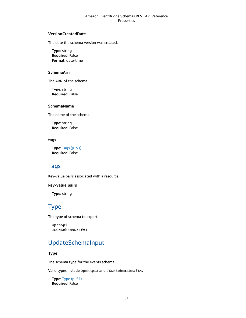#### <span id="page-54-1"></span>**VersionCreatedDate**

The date the schema version was created.

**Type**: string **Required**: False **Format**: date-time

#### <span id="page-54-2"></span>**SchemaArn**

The ARN of the schema.

**Type**: string **Required**: False

#### <span id="page-54-3"></span>**SchemaName**

The name of the schema.

**Type**: string **Required**: False

#### <span id="page-54-4"></span>**tags**

**Type**: [Tags \(p. 51\)](#page-54-6) **Required**: False

### <span id="page-54-6"></span>Tags

Key-value pairs associated with a resource.

#### **key-value pairs**

**Type**: string

### <span id="page-54-5"></span>Type

The type of schema to export.

```
OpenApi3
JSONSchemaDraft4
```
### UpdateSchemaInput

#### <span id="page-54-0"></span>**Type**

The schema type for the events schema.

Valid types include OpenApi3 and JSONSchemaDraft4.

**Type**: [Type \(p. 51\)](#page-54-5) **Required**: False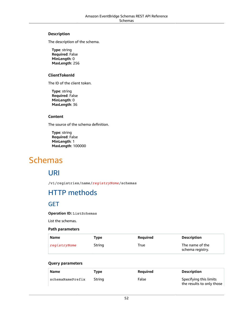### <span id="page-55-0"></span>**Description**

The description of the schema.

**Type**: string **Required**: False **MinLength**: 0 **MaxLength**: 256

### <span id="page-55-1"></span>**ClientTokenId**

The ID of the client token.

**Type**: string **Required**: False **MinLength**: 0 **MaxLength**: 36

### <span id="page-55-2"></span>**Content**

The source of the schema definition.

**Type**: string **Required**: False **MinLength**: 1 **MaxLength**: 100000

# Schemas

### URI

/v1/registries/name/*registryName*/schemas

# HTTP methods

### **GET**

**Operation ID:** ListSchemas

List the schemas.

### **Path parameters**

| Name         | Type   | <b>Required</b> | <b>Description</b>                  |
|--------------|--------|-----------------|-------------------------------------|
| registryName | String | True            | The name of the<br>schema registry. |

### **Query parameters**

| Name             | Tvpe   | Reguired | <b>Description</b>                                  |
|------------------|--------|----------|-----------------------------------------------------|
| schemaNamePrefix | Strina | False    | Specifying this limits<br>the results to only those |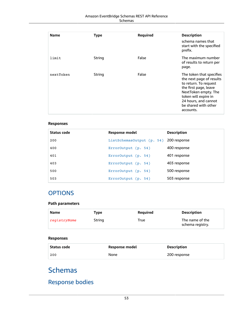### Amazon EventBridge Schemas REST API Reference Schemas

| <b>Name</b> | <b>Type</b> | <b>Required</b> | <b>Description</b><br>schema names that<br>start with the specified                                                                                                                                                 |
|-------------|-------------|-----------------|---------------------------------------------------------------------------------------------------------------------------------------------------------------------------------------------------------------------|
|             |             |                 | prefix.                                                                                                                                                                                                             |
| limit       | String      | False           | The maximum number<br>of results to return per<br>page.                                                                                                                                                             |
| nextToken   | String      | False           | The token that specifies<br>the next page of results<br>to return. To request<br>the first page, leave<br>NextToken empty. The<br>token will expire in<br>24 hours, and cannot<br>be shared with other<br>accounts. |

### **Responses**

| Status code | Response model                         | <b>Description</b> |
|-------------|----------------------------------------|--------------------|
| 200         | ListSchemasOutput (p. 54) 200 response |                    |
| 400         | $ErrorOutput$ (p. 54)                  | 400 response       |
| 401         | ErrorOutput (p. 54)                    | 401 response       |
| 403         | ErrorOutput (p. 54)                    | 403 response       |
| 500         | ErrorOutput (p. 54)                    | 500 response       |
| 503         | $ErrorOutput$ (p. 54)                  | 503 response       |

### **OPTIONS**

### **Path parameters**

| Name         | Type   | <b>Required</b> | <b>Description</b>                  |
|--------------|--------|-----------------|-------------------------------------|
| registryName | String | True            | The name of the<br>schema registry. |

### **Responses**

| Status code | Response model | <b>Description</b> |
|-------------|----------------|--------------------|
| 200         | None           | 200 response       |

# Schemas

# Response bodies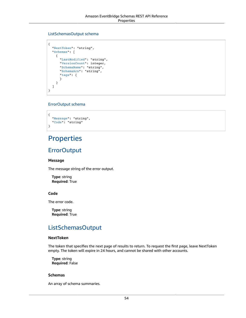### <span id="page-57-0"></span>ListSchemasOutput schema

```
{
  "NextToken": "string",
   "Schemas": [
    {
       "LastModified": "string",
       "VersionCount": integer,
       "SchemaName": "string",
       "SchemaArn": "string",
       "tags": {
       }
     }
   ]
}
```
### <span id="page-57-1"></span>ErrorOutput schema

```
{
   "Message": "string",
   "Code": "string"
}
```
# **Properties**

### **ErrorOutput**

#### <span id="page-57-4"></span>**Message**

The message string of the error output.

**Type**: string **Required**: True

### <span id="page-57-5"></span>**Code**

The error code.

**Type**: string **Required**: True

### ListSchemasOutput

#### <span id="page-57-2"></span>**NextToken**

The token that specifies the next page of results to return. To request the first page, leave NextToken empty. The token will expire in 24 hours, and cannot be shared with other accounts.

**Type**: string **Required**: False

#### <span id="page-57-3"></span>**Schemas**

An array of schema summaries.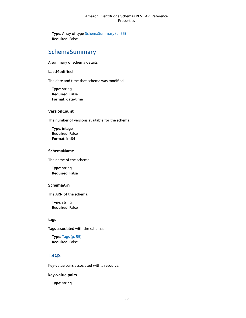**Type**: Array of type [SchemaSummary \(p. 55\)](#page-58-5) **Required**: False

### <span id="page-58-5"></span>SchemaSummary

A summary of schema details.

#### <span id="page-58-0"></span>**LastModified**

The date and time that schema was modified.

**Type**: string **Required**: False **Format**: date-time

#### <span id="page-58-1"></span>**VersionCount**

The number of versions available for the schema.

**Type**: integer **Required**: False **Format**: int64

#### <span id="page-58-2"></span>**SchemaName**

The name of the schema.

**Type**: string **Required**: False

### <span id="page-58-3"></span>**SchemaArn**

The ARN of the schema.

**Type**: string **Required**: False

#### <span id="page-58-4"></span>**tags**

Tags associated with the schema.

**Type**: [Tags \(p. 55\)](#page-58-6) **Required**: False

### <span id="page-58-6"></span>Tags

Key-value pairs associated with a resource.

#### **key-value pairs**

**Type**: string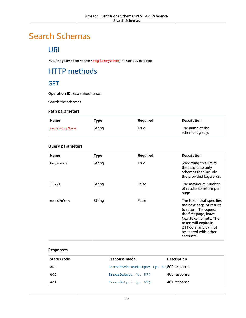# Search Schemas

# URI

/v1/registries/name/*registryName*/schemas/search

# HTTP methods

### **GET**

**Operation ID:** SearchSchemas

Search the schemas

### **Path parameters**

| <b>Name</b>  | Type   | Reguired | <b>Description</b>                  |
|--------------|--------|----------|-------------------------------------|
| registryName | String | True     | The name of the<br>schema registry. |

### **Query parameters**

| <b>Name</b> | <b>Type</b> | Required    | <b>Description</b>                                                                                                                                                                                                  |
|-------------|-------------|-------------|---------------------------------------------------------------------------------------------------------------------------------------------------------------------------------------------------------------------|
| keywords    | String      | <b>True</b> | Specifying this limits<br>the results to only<br>schemas that include<br>the provided keywords.                                                                                                                     |
| limit       | String      | False       | The maximum number<br>of results to return per<br>page.                                                                                                                                                             |
| nextToken   | String      | False       | The token that specifies<br>the next page of results<br>to return. To request<br>the first page, leave<br>NextToken empty. The<br>token will expire in<br>24 hours, and cannot<br>be shared with other<br>accounts. |

### **Responses**

| Status code | Response model                          | <b>Description</b> |
|-------------|-----------------------------------------|--------------------|
| 200         | SearchSchemasOutput (p. 57)200 response |                    |
| 400         | ErrorOutput (p. 57)                     | 400 response       |
| 401         | ErrorOutput (p. 57)                     | 401 response       |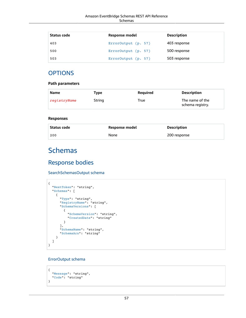| Status code | Response model      | <b>Description</b> |
|-------------|---------------------|--------------------|
| 403         | ErrorOutput (p. 57) | 403 response       |
| 500         | ErrorOutput (p. 57) | 500 response       |
| 503         | ErrorOutput (p. 57) | 503 response       |

### **OPTIONS**

### **Path parameters**

| Name         | Type   | Reguired | <b>Description</b>                  |
|--------------|--------|----------|-------------------------------------|
| registryName | String | True     | The name of the<br>schema registry. |

#### **Responses**

| Status code | Response model | Description  |
|-------------|----------------|--------------|
| 200         | None           | 200 response |

# Schemas

### Response bodies

#### <span id="page-60-0"></span>SearchSchemasOutput schema

```
{
  "NextToken": "string",
  "Schemas": [
    {
       "Type": "string",
       "RegistryName": "string",
       "SchemaVersions": [
        {
           "SchemaVersion": "string",
           "CreatedDate": "string"
        }
       ],
 "SchemaName": "string",
 "SchemaArn": "string"
     }
  ]
}
```
### <span id="page-60-1"></span>ErrorOutput schema

```
{
   "Message": "string",
   "Code": "string"
}
```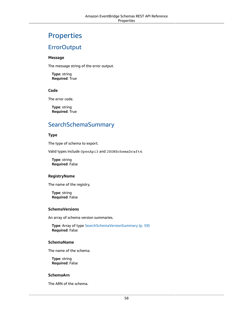# **Properties**

### **ErrorOutput**

#### <span id="page-61-5"></span>**Message**

The message string of the error output.

**Type**: string **Required**: True

### <span id="page-61-6"></span>**Code**

The error code.

**Type**: string **Required**: True

## <span id="page-61-7"></span>SearchSchemaSummary

### <span id="page-61-0"></span>**Type**

The type of schema to export.

Valid types include OpenApi3 and JSONSchemaDraft4.

**Type**: string **Required**: False

### <span id="page-61-1"></span>**RegistryName**

The name of the registry.

**Type**: string **Required**: False

#### <span id="page-61-2"></span>**SchemaVersions**

An array of schema version summaries.

**Type**: Array of type [SearchSchemaVersionSummary \(p. 59\)](#page-62-4) **Required**: False

#### <span id="page-61-3"></span>**SchemaName**

The name of the schema.

**Type**: string **Required**: False

#### <span id="page-61-4"></span>**SchemaArn**

The ARN of the schema.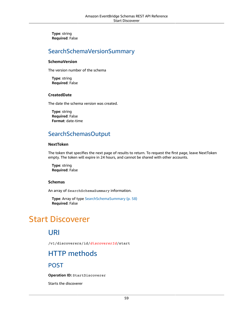**Type**: string **Required**: False

### <span id="page-62-4"></span>SearchSchemaVersionSummary

### <span id="page-62-2"></span>**SchemaVersion**

The version number of the schema

**Type**: string **Required**: False

### <span id="page-62-3"></span>**CreatedDate**

The date the schema version was created.

**Type**: string **Required**: False **Format**: date-time

### SearchSchemasOutput

#### <span id="page-62-0"></span>**NextToken**

The token that specifies the next page of results to return. To request the first page, leave NextToken empty. The token will expire in 24 hours, and cannot be shared with other accounts.

**Type**: string **Required**: False

### <span id="page-62-1"></span>**Schemas**

An array of SearchSchemaSummary information.

**Type**: Array of type [SearchSchemaSummary \(p. 58\)](#page-61-7) **Required**: False

# Start Discoverer

### URI

/v1/discoverers/id/*discovererId*/start

## HTTP methods

### POST

**Operation ID:** StartDiscoverer

Starts the discoverer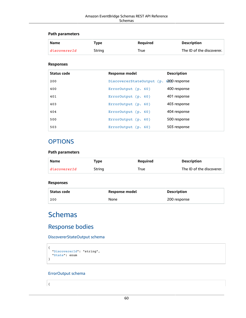### **Path parameters**

| Name         | Tvpe   | Reauired | <b>Description</b>        |
|--------------|--------|----------|---------------------------|
| discovererId | String | True     | The ID of the discoverer. |

### **Responses**

| Status code | Response model                         | <b>Description</b> |
|-------------|----------------------------------------|--------------------|
| 200         | DiscovererStateOutput (p. 200 response |                    |
| 400         | ErrorOutput (p. 60)                    | 400 response       |
| 401         | ErrorOutput (p. 60)                    | 401 response       |
| 403         | ErrorOutput (p. 60)                    | 403 response       |
| 404         | ErrorOutput (p. 60)                    | 404 response       |
| 500         | ErrorOutput (p. 60)                    | 500 response       |
| 503         | ErrorOutput $(p. 60)$                  | 503 response       |

### **OPTIONS**

### **Path parameters**

| Name         | Tvpe   | Reguired | <b>Description</b>        |
|--------------|--------|----------|---------------------------|
| discovererId | String | True     | The ID of the discoverer. |

### **Responses**

| Status code | Response model | Description  |
|-------------|----------------|--------------|
| 200         | None           | 200 response |

# **Schemas**

### Response bodies

<span id="page-63-0"></span>DiscovererStateOutput schema

```
{
  "DiscovererId": "string",
   "State": enum
}
```
### <span id="page-63-1"></span>ErrorOutput schema

{

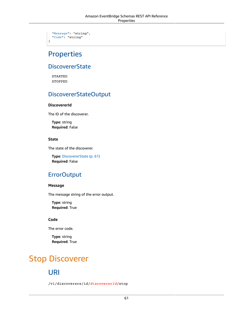```
 "Message": "string",
 "Code": "string"
```
# **Properties**

}

### <span id="page-64-4"></span>**DiscovererState**

STARTED STOPPED

### DiscovererStateOutput

### <span id="page-64-0"></span>**DiscovererId**

The ID of the discoverer.

**Type**: string **Required**: False

### <span id="page-64-1"></span>**State**

The state of the discoverer.

**Type**: [DiscovererState \(p. 61\)](#page-64-4) **Required**: False

### **ErrorOutput**

### <span id="page-64-2"></span>**Message**

The message string of the error output.

**Type**: string **Required**: True

### <span id="page-64-3"></span>**Code**

The error code.

**Type**: string **Required**: True

# Stop Discoverer

## URI

/v1/discoverers/id/*discovererId*/stop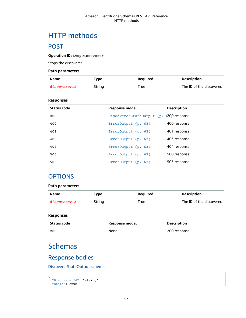# HTTP methods

### POST

**Operation ID:** StopDiscoverer

Stops the discoverer

#### **Path parameters**

| Name         | Tvpe   | Reguired | Description               |
|--------------|--------|----------|---------------------------|
| discovererId | String | True     | The ID of the discoverer. |

#### **Responses**

| Status code | Response model                         | <b>Description</b> |
|-------------|----------------------------------------|--------------------|
| 200         | DiscovererStateOutput (p. 200 response |                    |
| 400         | ErrorOutput (p. 63)                    | 400 response       |
| 401         | ErrorOutput (p. 63)                    | 401 response       |
| 403         | $ErrorOutput$ (p. 63)                  | 403 response       |
| 404         | ErrorOutput (p. 63)                    | 404 response       |
| 500         | ErrorOutput (p. 63)                    | 500 response       |
| 503         | ErrorOutput (p. 63)                    | 503 response       |

### **OPTIONS**

### **Path parameters**

| Name         | Type   | <b>Reauired</b> | <b>Description</b>        |
|--------------|--------|-----------------|---------------------------|
| discovererId | String | True            | The ID of the discoverer. |

#### **Responses**

| Status code | Response model | <b>Description</b> |
|-------------|----------------|--------------------|
| 200         | None           | 200 response       |

## **Schemas**

### Response bodies

<span id="page-65-0"></span>DiscovererStateOutput schema

```
{
   "DiscovererId": "string",
   "State": enum
```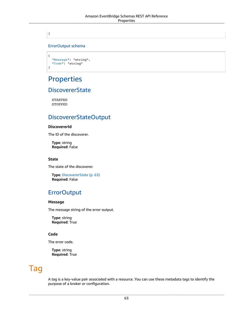}

### <span id="page-66-0"></span>ErrorOutput schema

```
{
   "Message": "string",
   "Code": "string"
}
```
# **Properties**

### <span id="page-66-5"></span>**DiscovererState**

STARTED STOPPED

### DiscovererStateOutput

### <span id="page-66-1"></span>**DiscovererId**

The ID of the discoverer.

**Type**: string **Required**: False

#### <span id="page-66-2"></span>**State**

The state of the discoverer.

**Type**: [DiscovererState \(p. 63\)](#page-66-5) **Required**: False

### **ErrorOutput**

#### <span id="page-66-3"></span>**Message**

The message string of the error output.

**Type**: string **Required**: True

### <span id="page-66-4"></span>**Code**

The error code.

**Type**: string **Required**: True

# Tag

A tag is a key-value pair associated with a resource. You can use these metadata tags to identify the purpose of a broker or configuration.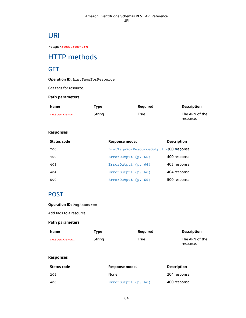# URI

/tags/*resource-arn*

# HTTP methods

### **GET**

**Operation ID:** ListTagsForResource

Get tags for resource.

### **Path parameters**

| <b>Name</b>  | Type   | Reguired | <b>Description</b>          |
|--------------|--------|----------|-----------------------------|
| resource-arn | String | True     | The ARN of the<br>resource. |

### **Responses**

| Status code | Response model                          | <b>Description</b> |
|-------------|-----------------------------------------|--------------------|
| 200         | ListTagsForResourceOutput (200 response |                    |
| 400         | ErrorOutput(p. 66)                      | 400 response       |
| 403         | $ErrorOutput$ (p. 66)                   | 403 response       |
| 404         | $ErrorOutput$ (p. 66)                   | 404 response       |
| 500         | ErrorOutput (p. 66)                     | 500 response       |

### POST

### **Operation ID:** TagResource

Add tags to a resource.

### **Path parameters**

| Name         | Type   | Reguired | <b>Description</b>          |
|--------------|--------|----------|-----------------------------|
| resource-arn | String | True     | The ARN of the<br>resource. |

#### **Responses**

| Status code | Response model      | Description  |
|-------------|---------------------|--------------|
| 204         | None                | 204 response |
| 400         | ErrorOutput (p. 66) | 400 response |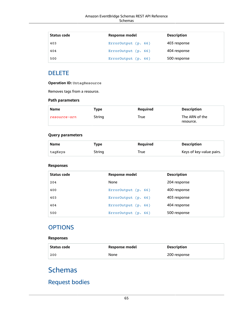| Status code | <b>Response model</b> | <b>Description</b> |  |
|-------------|-----------------------|--------------------|--|
| 403         | ErrorOutput (p. 66)   | 403 response       |  |
| 404         | ErrorOutput (p. 66)   | 404 response       |  |
| 500         | ErrorOutput (p. 66)   | 500 response       |  |

### DELETE

**Operation ID:** UntagResource

Removes tags from a resource.

### **Path parameters**

| <b>Name</b>  | Type   | <b>Required</b> | <b>Description</b>          |
|--------------|--------|-----------------|-----------------------------|
| resource-arn | String | True            | The ARN of the<br>resource. |

### **Query parameters**

| <b>Name</b> | Type   | Reguired | <b>Description</b>       |
|-------------|--------|----------|--------------------------|
| tagKeys     | String | True     | Keys of key-value pairs. |

### **Responses**

| Status code | <b>Response model</b> | <b>Description</b> |
|-------------|-----------------------|--------------------|
| 204         | None                  | 204 response       |
| 400         | ErrorOutput (p. 66)   | 400 response       |
| 403         | ErrorOutput $(p. 66)$ | 403 response       |
| 404         | ErrorOutput $(p. 66)$ | 404 response       |
| 500         | ErrorOutput $(p. 66)$ | 500 response       |

### **OPTIONS**

### **Responses**

| Status code | Response model | <b>Description</b> |
|-------------|----------------|--------------------|
| 200         | None           | 200 response       |

# **Schemas**

# Request bodies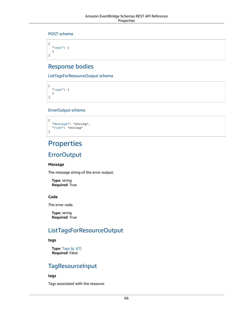### POST schema

```
{
   "tags": {
   }
}
```
### Response bodies

<span id="page-69-0"></span>ListTagsForResourceOutput schema

{ ["tags"](#page-69-3): { } }

### <span id="page-69-1"></span>ErrorOutput schema

```
{
   "Message": "string",
   "Code": "string"
}
```
# Properties

### **ErrorOutput**

### <span id="page-69-4"></span>**Message**

The message string of the error output.

**Type**: string **Required**: True

### <span id="page-69-5"></span>**Code**

The error code.

**Type**: string **Required**: True

### ListTagsForResourceOutput

#### <span id="page-69-3"></span>**tags**

**Type**: [Tags \(p. 67\)](#page-70-0) **Required**: False

### **TagResourceInput**

### <span id="page-69-2"></span>**tags**

Tags associated with the resource.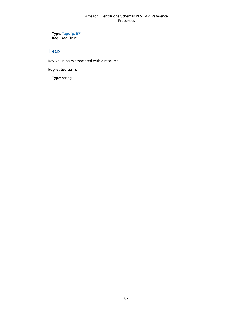**Type**: [Tags \(p. 67\)](#page-70-0) **Required**: True

### <span id="page-70-0"></span>Tags

Key-value pairs associated with a resource.

**key-value pairs**

**Type**: string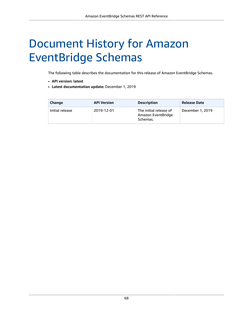# Document History for Amazon EventBridge Schemas

The following table describes the documentation for this release of Amazon EventBridge Schemas.

- **API version: latest**
- **Latest documentation update:** December 1, 2019

| Change          | <b>API Version</b> | <b>Description</b>                                       | <b>Release Date</b> |
|-----------------|--------------------|----------------------------------------------------------|---------------------|
| Initial release | 2019-12-01         | The initial release of<br>Amazon EventBridge<br>Schemas. | December 1, 2019    |